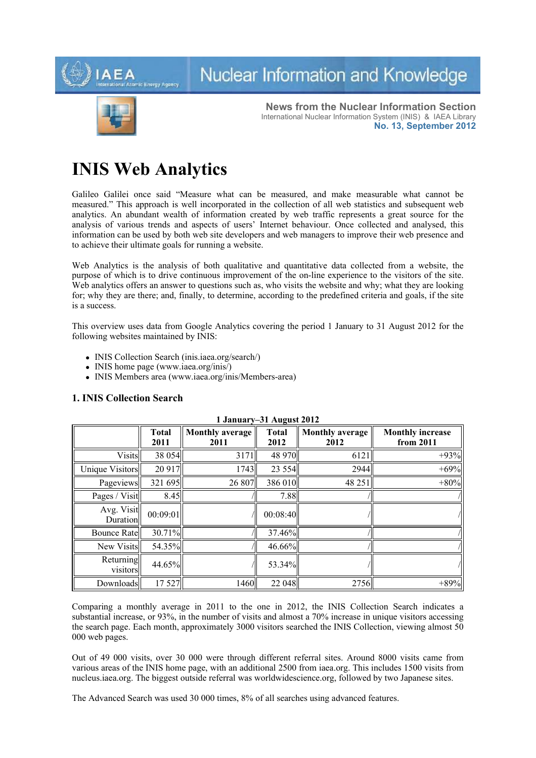

# Nuclear Information and Knowledge



**News from the Nuclear Information Section** International Nuclear Information System (INIS) & IAEA Library **No. 13, September 2012**

## **INIS Web Analytics**

Galileo Galilei once said "Measure what can be measured, and make measurable what cannot be measured." This approach is well incorporated in the collection of all web statistics and subsequent web analytics. An abundant wealth of information created by web traffic represents a great source for the analysis of various trends and aspects of users' Internet behaviour. Once collected and analysed, this information can be used by both web site developers and web managers to improve their web presence and to achieve their ultimate goals for running a website.

Web Analytics is the analysis of both qualitative and quantitative data collected from a website, the purpose of which is to drive continuous improvement of the on-line experience to the visitors of the site. Web analytics offers an answer to questions such as, who visits the website and why; what they are looking for; why they are there; and, finally, to determine, according to the predefined criteria and goals, if the site is a success.

This overview uses data from Google Analytics covering the period 1 January to 31 August 2012 for the following websites maintained by INIS:

- INIS Collection Search (inis.iaea.org/search/)
- INIS home page (www.iaea.org/inis/)
- INIS Members area (www.iaea.org/inis/Members-area)

## **1. INIS Collection Search**

| 1 January–31 August 2012 |                      |                                |                      |                                |                                      |
|--------------------------|----------------------|--------------------------------|----------------------|--------------------------------|--------------------------------------|
|                          | <b>Total</b><br>2011 | <b>Monthly average</b><br>2011 | <b>Total</b><br>2012 | <b>Monthly average</b><br>2012 | <b>Monthly increase</b><br>from 2011 |
| Visits                   | 38 054               | 3171                           | 48 970               | 6121                           | $+93%$                               |
| Unique Visitors          | 20 9 17              | 1743                           | 23 5 5 4             | 2944                           | $+69%$                               |
| Pageviews                | 321 695              | 26 807                         | 386 010              | 48 25 1                        | $+80%$                               |
| Pages / Visit            | 8.45                 |                                | 7.88                 |                                |                                      |
| Avg. Visit<br>Duration   | 00:09:01             |                                | 00:08:40             |                                |                                      |
| Bounce Rate              | $30.71\%$            |                                | 37.46%               |                                |                                      |
| New Visits               | 54.35%               |                                | $46.66\%$            |                                |                                      |
| Returning<br>visitors    | 44.65%               |                                | 53.34%               |                                |                                      |
| Downloads                | 17 527               | 1460                           | 22 048               | 2756                           | $+89%$                               |

Comparing a monthly average in 2011 to the one in 2012, the INIS Collection Search indicates a substantial increase, or 93%, in the number of visits and almost a 70% increase in unique visitors accessing the search page. Each month, approximately 3000 visitors searched the INIS Collection, viewing almost 50 000 web pages.

Out of 49 000 visits, over 30 000 were through different referral sites. Around 8000 visits came from various areas of the INIS home page, with an additional 2500 from iaea.org. This includes 1500 visits from nucleus.iaea.org. The biggest outside referral was worldwidescience.org, followed by two Japanese sites.

The Advanced Search was used 30 000 times, 8% of all searches using advanced features.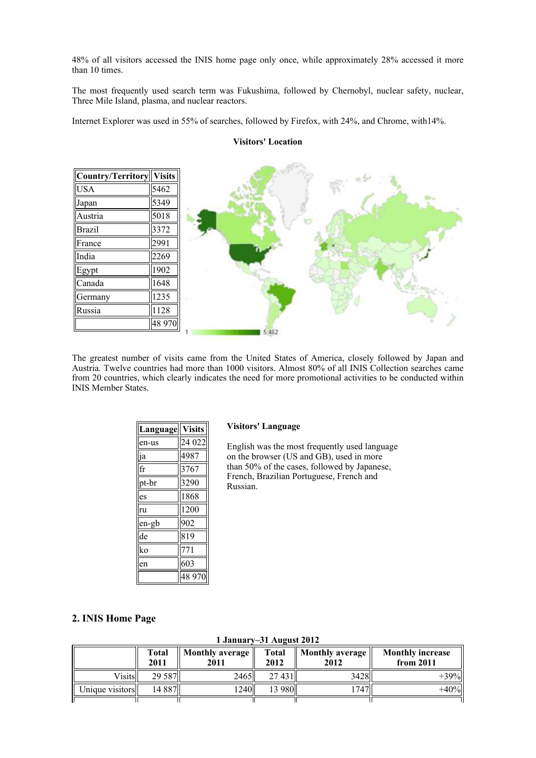48% of all visitors accessed the INIS home page only once, while approximately 28% accessed it more than 10 times.

The most frequently used search term was Fukushima, followed by Chernobyl, nuclear safety, nuclear, Three Mile Island, plasma, and nuclear reactors.

Internet Explorer was used in 55% of searches, followed by Firefox, with 24%, and Chrome, with14%.



The greatest number of visits came from the United States of America, closely followed by Japan and Austria. Twelve countries had more than 1000 visitors. Almost 80% of all INIS Collection searches came from 20 countries, which clearly indicates the need for more promotional activities to be conducted within INIS Member States.

| Language | <b>Visits</b> |
|----------|---------------|
| en-us    | 24 022        |
| ia       | 4987          |
| fr       | 3767          |
| pt-br    | 3290          |
| es       | 1868          |
| ru       | 1200          |
| en-gb    | 902           |
| de       | 819           |
| ko       | 71            |
| en       | 603           |
|          | 48 970        |

#### **Visitors' Language**

English was the most frequently used language on the browser (US and GB), used in more than 50% of the cases, followed by Japanese, French, Brazilian Portuguese, French and Russian.

## **2. INIS Home Page**

|  |  |  | 1 January-31 August 2012 |  |
|--|--|--|--------------------------|--|
|--|--|--|--------------------------|--|

|                 | Total<br>2011 | <b>Monthly average</b><br>2011 | <b>Total</b><br>2012 | $\parallel$ Monthly average $\parallel$<br>2012 | <b>Monthly increase</b><br>from 2011 |
|-----------------|---------------|--------------------------------|----------------------|-------------------------------------------------|--------------------------------------|
| <b>Visits</b>   | 29 5 87       | 2465                           | 27 431               | 3428ll                                          | $+39%$                               |
| Unique visitors | 14 887        | 124011                         | 13 980ll             | 1747                                            | $+40%$                               |
|                 |               |                                |                      |                                                 |                                      |

### **Visitors' Location**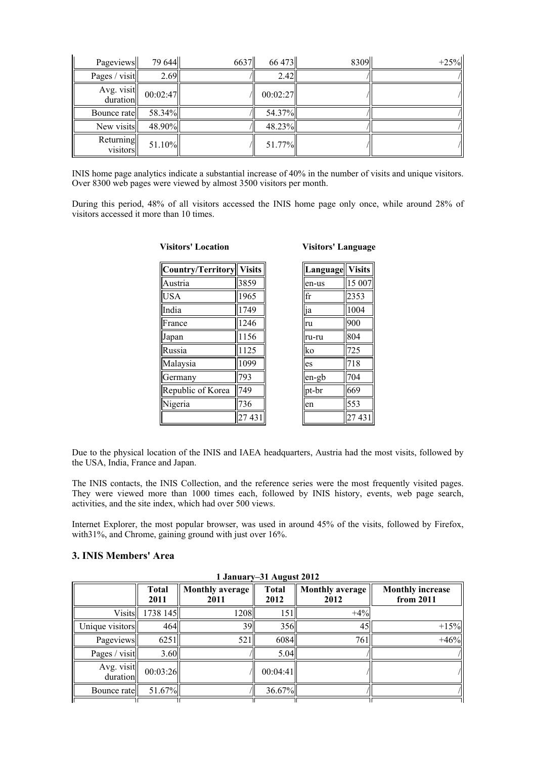| Pageviews              | 79 644    | 6637 | 66 473    | 8309 | $+25%$ |
|------------------------|-----------|------|-----------|------|--------|
| Pages / visit          | 2.69      |      | 2.42      |      |        |
| Avg. visit<br>duration | 00:02:47  |      | 00:02:27  |      |        |
| Bounce ratell          | 58.34%    |      | 54.37%    |      |        |
| New visits             | 48.90%    |      | $48.23\%$ |      |        |
| Returning<br>visitors  | $51.10\%$ |      | $51.77\%$ |      |        |

INIS home page analytics indicate a substantial increase of 40% in the number of visits and unique visitors. Over 8300 web pages were viewed by almost 3500 visitors per month.

During this period, 48% of all visitors accessed the INIS home page only once, while around 28% of visitors accessed it more than 10 times.

| Country/Territory | <b>Visits</b> |
|-------------------|---------------|
| Austria           | 3859          |
| <b>USA</b>        | 1965          |
| India             | 1749          |
| France            | 1246          |
| Japan             | 1156          |
| Russia            | 1125          |
| Malaysia          | 1099          |
| Germany           | 793           |
| Republic of Korea | 749           |
| Nigeria           | 736           |
|                   | 431           |

**Visitors' Location**

| <b>Visitors' Language</b> |  |  |  |
|---------------------------|--|--|--|
|---------------------------|--|--|--|

| Language   Visits |        |
|-------------------|--------|
| en-us             | 15 007 |
| lfr               | 2353   |
| lja               | 1004   |
| ru                | 900    |
| ru-ru             | 804    |
| lko               | 725    |
| es                | 718    |
| en-gb             | 704    |
| pt-br             | 669    |
| len               | 553    |
|                   | 27431  |

Due to the physical location of the INIS and IAEA headquarters, Austria had the most visits, followed by the USA, India, France and Japan.

The INIS contacts, the INIS Collection, and the reference series were the most frequently visited pages. They were viewed more than 1000 times each, followed by INIS history, events, web page search, activities, and the site index, which had over 500 views.

Internet Explorer, the most popular browser, was used in around 45% of the visits, followed by Firefox, with31%, and Chrome, gaining ground with just over 16%.

### **3. INIS Members' Area**

|                        | 1 January–31 August 2012 |                                |                      |                                |                                      |  |  |
|------------------------|--------------------------|--------------------------------|----------------------|--------------------------------|--------------------------------------|--|--|
|                        | <b>Total</b><br>2011     | <b>Monthly average</b><br>2011 | <b>Total</b><br>2012 | <b>Monthly average</b><br>2012 | <b>Monthly increase</b><br>from 2011 |  |  |
| <b>Visits</b>          | 1738 145                 | 1208                           | 151                  | $+4%$                          |                                      |  |  |
| Unique visitors        | 464                      | 39II                           | 356                  | 45                             | $+15%$                               |  |  |
| Pageviews              | 6251                     | 521                            | 6084                 | 761                            | $+46%$                               |  |  |
| Pages / visit          | 3.60                     |                                | 5.04                 |                                |                                      |  |  |
| Avg. visit<br>duration | 00:03:26                 |                                | 00:04:41             |                                |                                      |  |  |
| Bounce rate            | 51.67%                   |                                | 36.67%               |                                |                                      |  |  |
|                        |                          |                                |                      |                                |                                      |  |  |